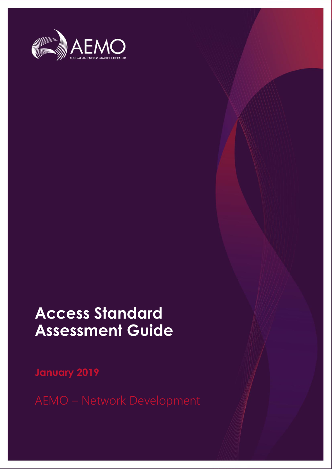

## **Access Standard Assessment Guide**

**January 2019**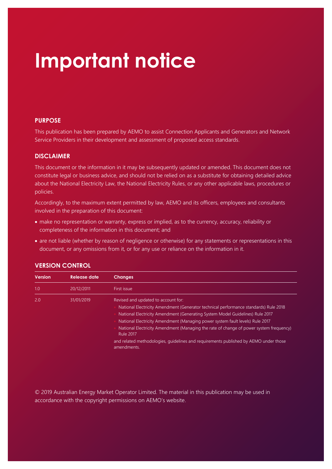## **Important notice**

#### **PURPOSE**

This publication has been prepared by AEMO to assist Connection Applicants and Generators and Network Service Providers in their development and assessment of proposed access standards.

#### **DISCLAIMER**

This document or the information in it may be subsequently updated or amended. This document does not constitute legal or business advice, and should not be relied on as a substitute for obtaining detailed advice about the National Electricity Law, the National Electricity Rules, or any other applicable laws, procedures or policies.

Accordingly, to the maximum extent permitted by law, AEMO and its officers, employees and consultants involved in the preparation of this document:

- make no representation or warranty, express or implied, as to the currency, accuracy, reliability or completeness of the information in this document; and
- are not liable (whether by reason of negligence or otherwise) for any statements or representations in this document, or any omissions from it, or for any use or reliance on the information in it.

| <b>Version</b> | <b>Release date</b> | <b>Changes</b>                                                                                                                                                                                                                                                                                                                                                                                                                                                                                                     |
|----------------|---------------------|--------------------------------------------------------------------------------------------------------------------------------------------------------------------------------------------------------------------------------------------------------------------------------------------------------------------------------------------------------------------------------------------------------------------------------------------------------------------------------------------------------------------|
| 1.0            | 20/12/2011          | First issue                                                                                                                                                                                                                                                                                                                                                                                                                                                                                                        |
| 2.0            | 31/01/2019          | Revised and updated to account for:<br>National Electricity Amendment (Generator technical performance standards) Rule 2018<br>National Electricity Amendment (Generating System Model Guidelines) Rule 2017<br>National Electricity Amendment (Managing power system fault levels) Rule 2017<br>National Electricity Amendment (Managing the rate of change of power system frequency)<br><b>Rule 2017</b><br>and related methodologies, guidelines and requirements published by AEMO under those<br>amendments. |

#### **VERSION CONTROL**

© 2019 Australian Energy Market Operator Limited. The material in this publication may be used in accordance with the [copyright permissions on AEMO's website](http://aemo.com.au/Privacy_and_Legal_Notices/Copyright_Permissions_Notice).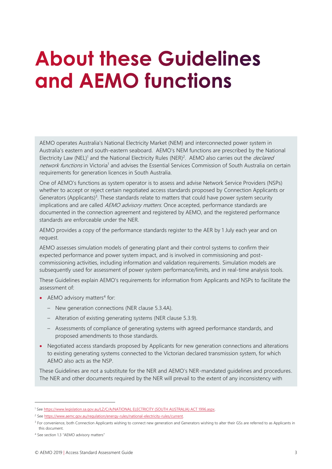## <span id="page-2-0"></span>**About these Guidelines** and AEMO functions

AEMO operates Australia's National Electricity Market (NEM) and interconnected power system in Australia's eastern and south-eastern seaboard. AEMO's NEM functions are prescribed by the National Electricity Law (NEL)<sup>1</sup> and the National Electricity Rules (NER)<sup>2</sup>. AEMO also carries out the *declared* network functions in Victoria<sup>1</sup> and advises the Essential Services Commission of South Australia on certain requirements for generation licences in South Australia.

One of AEMO's functions as system operator is to assess and advise Network Service Providers (NSPs) whether to accept or reject certain negotiated access standards proposed by Connection Applicants or Generators (Applicants)<sup>3</sup>. These standards relate to matters that could have power system security implications and are called AEMO advisory matters. Once accepted, performance standards are documented in the connection agreement and registered by AEMO, and the registered performance standards are enforceable under the NER.

AEMO provides a copy of the performance standards register to the AER by 1 July each year and on request.

AEMO assesses simulation models of generating plant and their control systems to confirm their expected performance and power system impact, and is involved in commissioning and postcommissioning activities, including information and validation requirements. Simulation models are subsequently used for assessment of power system performance/limits, and in real-time analysis tools.

These Guidelines explain AEMO's requirements for information from Applicants and NSPs to facilitate the assessment of:

- AEMO advisory matters<sup>4</sup> for:
	- New generation connections (NER clause 5.3.4A).
	- Alteration of existing generating systems (NER clause 5.3.9).
	- Assessments of compliance of generating systems with agreed performance standards, and proposed amendments to those standards.
- Negotiated access standards proposed by Applicants for new generation connections and alterations to existing generating systems connected to the Victorian declared transmission system, for which AEMO also acts as the NSP.

These Guidelines are not a substitute for the NER and AEMO's NER-mandated guidelines and procedures. The NER and other documents required by the NER will prevail to the extent of any inconsistency with

<sup>1</sup> Se[e https://www.legislation.sa.gov.au/LZ/C/A/NATIONAL ELECTRICITY \(SOUTH AUSTRALIA\) ACT 1996.aspx.](https://www.legislation.sa.gov.au/LZ/C/A/NATIONAL%20ELECTRICITY%20(SOUTH%20AUSTRALIA)%20ACT%201996.aspx)

<sup>&</sup>lt;sup>2</sup> Se[e https://www.aemc.gov.au/regulation/energy-rules/national-electricity-rules/current.](https://www.aemc.gov.au/regulation/energy-rules/national-electricity-rules/current)

<sup>&</sup>lt;sup>3</sup> For convenience, both Connection Applicants wishing to connect new generation and Generators wishing to alter their GSs are referred to as Applicants in this document.

<sup>4</sup> See section 1.3 "AEMO advisory matters"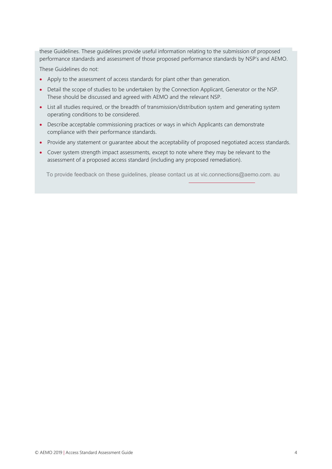these Guidelines. These guidelines provide useful information relating to the submission of proposed performance standards and assessment of those proposed performance standards by NSP's and AEMO.

These Guidelines do not:

- Apply to the assessment of access standards for plant other than generation.
- Detail the scope of studies to be undertaken by the Connection Applicant, Generator or the NSP. These should be discussed and agreed with AEMO and the relevant NSP.
- List all studies required, or the breadth of transmission/distribution system and generating system operating conditions to be considered.
- Describe acceptable commissioning practices or ways in which Applicants can demonstrate compliance with their performance standards.
- Provide any statement or guarantee about the acceptability of proposed negotiated access standards.
- Cover system strength impact assessments, except to note where they may be relevant to the assessment of a proposed access standard (including any proposed remediation).

To provide feedback on these guidelines, please contact us at [vic.connections@aemo](mailto:connections@aemo.com.au).com. au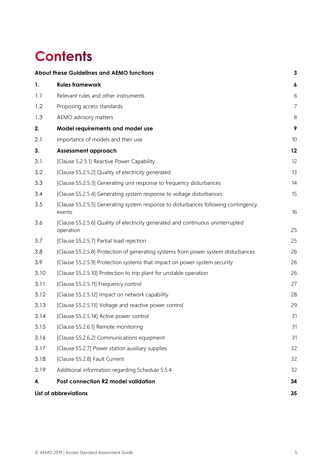## **Contents**

|      | About these Guidelines and AEMO functions                                                    | $\mathbf{3}$   |
|------|----------------------------------------------------------------------------------------------|----------------|
| 1.   | <b>Rules framework</b>                                                                       | 6              |
| 1.1  | Relevant rules and other instruments                                                         | 6              |
| 1.2  | Proposing access standards                                                                   | $\overline{7}$ |
| 1.3  | AEMO advisory matters                                                                        | 8              |
| 2.   | Model requirements and model use                                                             | 9              |
| 2.1  | Importance of models and their use                                                           | 10             |
| 3.   | <b>Assessment approach</b>                                                                   | 12             |
| 3.1  | [Clause 5.2.5.1] Reactive Power Capability                                                   | 12             |
| 3.2  | [Clause S5.2.5.2] Quality of electricity generated                                           | 13             |
| 3.3  | [Clause S5.2.5.3] Generating unit response to frequency disturbances                         | 14             |
| 3.4  | [Clause S5.2.5.4] Generating system response to voltage disturbances                         | 15             |
| 3.5  | [Clause S5.2.5.5] Generating system response to disturbances following contingency<br>events | 16             |
| 3.6  | [Clause S5.2.5.6] Quality of electricity generated and continuous uninterrupted<br>operation | 25             |
| 3.7  | [Clause S5.2.5.7] Partial load rejection                                                     | 25             |
| 3.8  | [Clause S5.2.5.8] Protection of generating systems from power system disturbances            | 26             |
| 3.9  | [Clause S5.2.5.9] Protection systems that impact on power system security                    | 26             |
| 3.10 | [Clause S5.2.5.10] Protection to trip plant for unstable operation                           | 26             |
| 3.11 | [Clause S5.2.5.11] Frequency control                                                         | 27             |
| 3.12 | [Clause S5.2.5.12] Impact on network capability                                              | 28             |
| 3.13 | [Clause S5.2.5.13] Voltage and reactive power control                                        | 29             |
| 3.14 | [Clause S5.2.5.14] Active power control                                                      | 31             |
| 3.15 | [Clause S5.2.6.1] Remote monitoring                                                          | 31             |
| 3.16 | [Clause S5.2.6.2] Communications equipment                                                   | 31             |
| 3.17 | [Clause S5.2.7] Power station auxiliary supplies                                             | 32             |
| 3.18 | [Clause S5.2.8] Fault Current                                                                | 32             |
| 3.19 | Additional information regarding Schedule 5.5.4                                              | 32             |
| 4.   | Post connection R2 model validation                                                          | 34             |
|      | <b>List of abbreviations</b>                                                                 | 35             |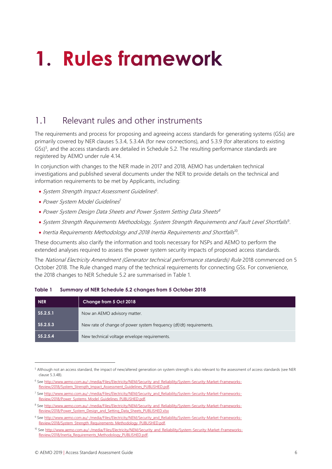# <span id="page-5-0"></span>1. Rules framework

## <span id="page-5-1"></span>1.1 Relevant rules and other instruments

The requirements and process for proposing and agreeing access standards for generating systems (GSs) are primarily covered by NER clauses 5.3.4, 5.3.4A (for new connections), and 5.3.9 (for alterations to existing GSs)<sup>5</sup>, and the access standards are detailed in Schedule 5.2. The resulting performance standards are registered by AEMO under rule 4.14.

In conjunction with changes to the NER made in 2017 and 2018, AEMO has undertaken technical investigations and published several documents under the NER to provide details on the technical and information requirements to be met by Applicants, including:

- System Strength Impact Assessment Guidelines<sup>6</sup>.
- Power System Model Guidelines<sup>7</sup>
- Power System Design Data Sheets and Power System Setting Data Sheets 8
- System Strength Requirements Methodology, System Strength Requirements and Fault Level Shortfalls<sup>9</sup>.
- Inertia Requirements Methodology and 2018 Inertia Requirements and Shortfalls<sup>10</sup>.

These documents also clarify the information and tools necessary for NSPs and AEMO to perform the extended analyses required to assess the power system security impacts of proposed access standards.

The National Electricity Amendment (Generator technical performance standards) Rule 2018 commenced on 5 October 2018. The Rule changed many of the technical requirements for connecting GSs. For convenience, the 2018 changes to NER Schedule 5.2 are summarised in Table 1.

| <b>NER</b>  | Change from 5 Oct 2018                                             |
|-------------|--------------------------------------------------------------------|
| $S_5.2.5.1$ | Now an AEMO advisory matter.                                       |
| $S_5.2.5.3$ | New rate of change of power system frequency (df/dt) requirements. |
| $S_5.2.5.4$ | New technical voltage envelope requirements.                       |

#### **Table 1 Summary of NER Schedule 5.2 changes from 5 October 2018**

<sup>&</sup>lt;sup>5</sup> Although not an access standard, the impact of new/altered generation on system strength is also relevant to the assessment of access standards (see NER clause 5.3.4B).

<sup>6</sup> Se[e http://www.aemo.com.au/-/media/Files/Electricity/NEM/Security\\_and\\_Reliability/System-Security-Market-Frameworks-](http://www.aemo.com.au/-/media/Files/Electricity/NEM/Security_and_Reliability/System-Security-Market-Frameworks-Review/2018/System_Strength_Impact_Assessment_Guidelines_PUBLISHED.pdf)[Review/2018/System\\_Strength\\_Impact\\_Assessment\\_Guidelines\\_PUBLISHED.pdf.](http://www.aemo.com.au/-/media/Files/Electricity/NEM/Security_and_Reliability/System-Security-Market-Frameworks-Review/2018/System_Strength_Impact_Assessment_Guidelines_PUBLISHED.pdf)

<sup>7</sup> Se[e http://www.aemo.com.au/-/media/Files/Electricity/NEM/Security\\_and\\_Reliability/System-Security-Market-Frameworks-](http://www.aemo.com.au/-/media/Files/Electricity/NEM/Security_and_Reliability/System-Security-Market-Frameworks-Review/2018/Power_Systems_Model_Guidelines_PUBLISHED.pdf)[Review/2018/Power\\_Systems\\_Model\\_Guidelines\\_PUBLISHED.pdf.](http://www.aemo.com.au/-/media/Files/Electricity/NEM/Security_and_Reliability/System-Security-Market-Frameworks-Review/2018/Power_Systems_Model_Guidelines_PUBLISHED.pdf)

<sup>8</sup> Se[e http://www.aemo.com.au/-/media/Files/Electricity/NEM/Security\\_and\\_Reliability/System-Security-Market-Frameworks-](http://www.aemo.com.au/-/media/Files/Electricity/NEM/Security_and_Reliability/System-Security-Market-Frameworks-Review/2018/Power_System_Design_and_Setting_Data_Sheets_PUBLISHED.xlsx)[Review/2018/Power\\_System\\_Design\\_and\\_Setting\\_Data\\_Sheets\\_PUBLISHED.xlsx](http://www.aemo.com.au/-/media/Files/Electricity/NEM/Security_and_Reliability/System-Security-Market-Frameworks-Review/2018/Power_System_Design_and_Setting_Data_Sheets_PUBLISHED.xlsx)

<sup>9</sup> Se[e http://www.aemo.com.au/-/media/Files/Electricity/NEM/Security\\_and\\_Reliability/System-Security-Market-Frameworks-](http://www.aemo.com.au/-/media/Files/Electricity/NEM/Security_and_Reliability/System-Security-Market-Frameworks-Review/2018/System_Strength_Requirements_Methodology_PUBLISHED.pdf)[Review/2018/System\\_Strength\\_Requirements\\_Methodology\\_PUBLISHED.pdf.](http://www.aemo.com.au/-/media/Files/Electricity/NEM/Security_and_Reliability/System-Security-Market-Frameworks-Review/2018/System_Strength_Requirements_Methodology_PUBLISHED.pdf)

<sup>10</sup> Se[e http://www.aemo.com.au/-/media/Files/Electricity/NEM/Security\\_and\\_Reliability/System-Security-Market-Frameworks-](http://www.aemo.com.au/-/media/Files/Electricity/NEM/Security_and_Reliability/System-Security-Market-Frameworks-Review/2018/Inertia_Requirements_Methodology_PUBLISHED.pdf)[Review/2018/Inertia\\_Requirements\\_Methodology\\_PUBLISHED.pdf.](http://www.aemo.com.au/-/media/Files/Electricity/NEM/Security_and_Reliability/System-Security-Market-Frameworks-Review/2018/Inertia_Requirements_Methodology_PUBLISHED.pdf)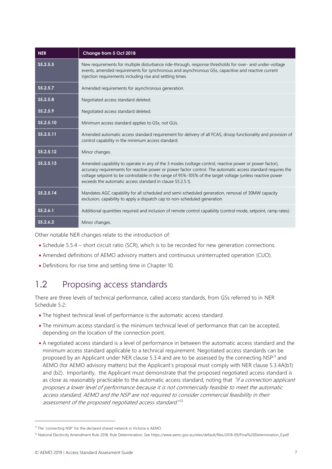| <b>NER</b> | Change from 5 Oct 2018                                                                                                                                                                                                                                                                                                                                                                            |
|------------|---------------------------------------------------------------------------------------------------------------------------------------------------------------------------------------------------------------------------------------------------------------------------------------------------------------------------------------------------------------------------------------------------|
| S5.2.5.5   | New requirements for multiple disturbance ride-through, response thresholds for over- and under-voltage<br>events, amended requirements for synchronous and asynchronous GSs, capacitive and reactive current<br>injection requirements including rise and settling times.                                                                                                                        |
| S5.2.5.7   | Amended requirements for asynchronous generation.                                                                                                                                                                                                                                                                                                                                                 |
| S5.2.5.8   | Negotiated access standard deleted.                                                                                                                                                                                                                                                                                                                                                               |
| S5.2.5.9   | Negotiated access standard deleted.                                                                                                                                                                                                                                                                                                                                                               |
| S5.2.5.10  | Minimum access standard applies to GSs, not GUs.                                                                                                                                                                                                                                                                                                                                                  |
| S5.2.5.11  | Amended automatic access standard requirement for delivery of all FCAS, droop functionality and provision of<br>control capability in the minimum access standard.                                                                                                                                                                                                                                |
| S5.2.5.12  | Minor changes.                                                                                                                                                                                                                                                                                                                                                                                    |
| S5.2.5.13  | Amended capability to operate in any of the 3 modes (voltage control, reactive power or power factor),<br>accuracy requirements for reactive power or power factor control. The automatic access standard requires the<br>voltage setpoint to be controllable in the range of 95%-105% of the target voltage (unless reactive power<br>exceeds the automatic access standard in clause S5.2.5.1). |
| S5.2.5.14  | Mandates AGC capability for all scheduled and semi-scheduled generation, removal of 30MW capacity<br>exclusion, capability to apply a dispatch cap to non-scheduled generation.                                                                                                                                                                                                                   |
| S5.2.6.1   | Additional quantities required and inclusion of remote control capability (control mode, setpoint, ramp rates).                                                                                                                                                                                                                                                                                   |
| S5.2.6.2   | Minor changes.                                                                                                                                                                                                                                                                                                                                                                                    |

Other notable NER changes relate to the introduction of:

- Schedule 5.5.4 short circuit ratio (SCR), which is to be recorded for new generation connections.
- Amended definitions of AEMO advisory matters and continuous uninterrupted operation (CUO).
- Definitions for rise time and settling time in Chapter 10.

## <span id="page-6-0"></span>1.2 Proposing access standards

There are three levels of technical performance, called access standards, from GSs referred to in NER Schedule 5.2:

- The highest technical level of performance is the automatic access standard.
- The minimum access standard is the minimum technical level of performance that can be accepted, depending on the location of the connection point.
- A negotiated access standard is a level of performance in between the automatic access standard and the minimum access standard applicable to a technical requirement. Negotiated access standards can be proposed by an Applicant under NER clause 5.3.4 and are to be assessed by the connecting  $NSP<sup>11</sup>$  and AEMO (for AEMO advisory matters) but the Applicant's proposal must comply with NER clause 5.3.4A(b1) and (b2). Importantly, the Applicant must demonstrate that the proposed negotiated access standard is as close as reasonably practicable to the automatic access standard, noting that "if a connection applicant proposes a lower level of performance because it is not commercially feasible to meet the automatic access standard, AEMO and the NSP are not required to consider commercial feasibility in their assessment of the proposed negotiated access standard."<sup>12</sup>

<sup>11</sup> The 'connecting NSP' for the declared shared network in Victoria is AEMO.

<sup>&</sup>lt;sup>12</sup> National Electricity Amendment Rule 2018, Rule Determination, See https://www.aemc.gov.au/sites/default/files/2018-09/Final%20Determination\_0.pdf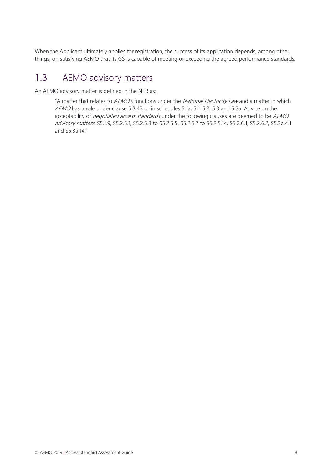When the Applicant ultimately applies for registration, the success of its application depends, among other things, on satisfying AEMO that its GS is capable of meeting or exceeding the agreed performance standards.

### <span id="page-7-0"></span>1.3 AEMO advisory matters

An AEMO advisory matter is defined in the NER as:

"A matter that relates to AEMO's functions under the National Electricity Law and a matter in which AEMO has a role under clause 5.3.4B or in schedules 5.1a, 5.1, 5.2, 5.3 and 5.3a. Advice on the acceptability of negotiated access standards under the following clauses are deemed to be AEMO advisory matters: S5.1.9, S5.2.5.1, S5.2.5.3 to S5.2.5.5, S5.2.5.7 to S5.2.5.14, S5.2.6.1, S5.2.6.2, S5.3a.4.1 and S5.3a.14."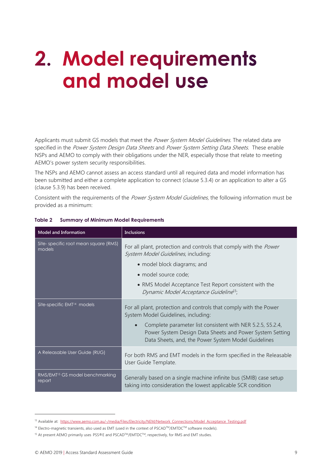## <span id="page-8-0"></span>2. Model requirements and model use

Applicants must submit GS models that meet the Power System Model Guidelines. The related data are specified in the Power System Design Data Sheets and Power System Setting Data Sheets. These enable NSPs and AEMO to comply with their obligations under the NER, especially those that relate to meeting AEMO's power system security responsibilities.

The NSPs and AEMO cannot assess an access standard until all required data and model information has been submitted and either a complete application to connect (clause 5.3.4) or an application to alter a GS (clause 5.3.9) has been received.

Consistent with the requirements of the Power System Model Guidelines, the following information must be provided as a minimum:

| <b>Model and Information</b>                          | <b>Inclusions</b>                                                                                                                                                                          |
|-------------------------------------------------------|--------------------------------------------------------------------------------------------------------------------------------------------------------------------------------------------|
| Site-specific root mean square (RMS)<br>models        | For all plant, protection and controls that comply with the <i>Power</i><br>System Model Guidelines, including:                                                                            |
|                                                       | • model block diagrams; and                                                                                                                                                                |
|                                                       | · model source code;                                                                                                                                                                       |
|                                                       | • RMS Model Acceptance Test Report consistent with the<br>Dynamic Model Acceptance Guideline <sup>13</sup> ;                                                                               |
| Site-specific EMT <sup>14</sup> models                | For all plant, protection and controls that comply with the Power<br>System Model Guidelines, including:                                                                                   |
|                                                       | Complete parameter list consistent with NER 5.2.5, S5.2.4,<br>$\bullet$<br>Power System Design Data Sheets and Power System Setting<br>Data Sheets, and, the Power System Model Guidelines |
| A Releasable User Guide (RUG)                         | For both RMS and EMT models in the form specified in the Releasable<br>User Guide Template.                                                                                                |
| RMS/EMT <sup>15</sup> GS model benchmarking<br>report | Generally based on a single machine infinite bus (SMIB) case setup<br>taking into consideration the lowest applicable SCR condition                                                        |

#### **Table 2 Summary of Minimum Model Requirements**

<sup>&</sup>lt;sup>13</sup> Available at: https://www.aemo.com.au/-/media/Files/Electricity/NEM/Network Connections/Model Acceptance Testing.pdf

<sup>&</sup>lt;sup>14</sup> Electro-magnetic transients, also used as EMT (used in the context of PSCAD™/EMTDC™ software models).

<sup>&</sup>lt;sup>15</sup> At present AEMO primarily uses PSS®E and PSCAD™/EMTDC™, respectively, for RMS and EMT studies.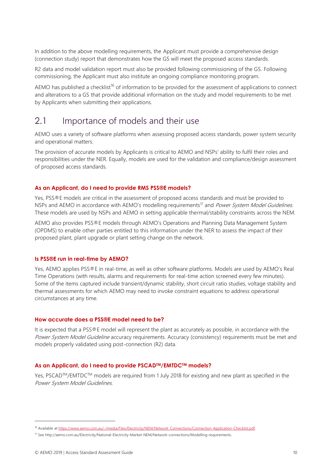In addition to the above modelling requirements, the Applicant must provide a comprehensive design (connection study) report that demonstrates how the GS will meet the proposed access standards.

R2 data and model validation report must also be provided following commissioning of the GS. Following commissioning, the Applicant must also institute an ongoing compliance monitoring program.

AEMO has published a checklist<sup>16</sup> of information to be provided for the assessment of applications to connect and alterations to a GS that provide additional information on the study and model requirements to be met by Applicants when submitting their applications.

### <span id="page-9-0"></span>2.1 Importance of models and their use

AEMO uses a variety of software platforms when assessing proposed access standards, power system security and operational matters.

The provision of accurate models by Applicants is critical to AEMO and NSPs' ability to fulfil their roles and responsibilities under the NER. Equally, models are used for the validation and compliance/design assessment of proposed access standards.

#### **As an Applicant, do I need to provide RMS PSS®E models?**

Yes, PSS®E models are critical in the assessment of proposed access standards and must be provided to NSPs and AEMO in accordance with AEMO's modelling requirements<sup>17</sup> and *Power System Model Guidelines.* These models are used by NSPs and AEMO in setting applicable thermal/stability constraints across the NEM.

AEMO also provides PSS®E models through AEMO's Operations and Planning Data Management System (OPDMS) to enable other parties entitled to this information under the NER to assess the impact of their proposed plant, plant upgrade or plant setting change on the network.

#### **Is PSS®E run in real-time by AEMO?**

Yes, AEMO applies PSS®E in real-time, as well as other software platforms. Models are used by AEMO's Real Time Operations (with results, alarms and requirements for real-time action screened every few minutes). Some of the items captured include transient/dynamic stability, short circuit ratio studies, voltage stability and thermal assessments for which AEMO may need to invoke constraint equations to address operational circumstances at any time.

#### **How accurate does a PSS®E model need to be?**

It is expected that a PSS®E model will represent the plant as accurately as possible, in accordance with the Power System Model Guideline accuracy requirements. Accuracy (consistency) requirements must be met and models properly validated using post-connection (R2) data.

#### **As an Applicant, do I need to provide PSCADTM/EMTDCTM models?**

Yes, PSCAD™/EMTDC™ models are required from 1 July 2018 for existing and new plant as specified in the Power System Model Guidelines.

<sup>16</sup> Available a[t https://www.aemo.com.au/-/media/Files/Electricity/NEM/Network\\_Connections/Connection-Application-Checklist.pdf.](https://www.aemo.com.au/-/media/Files/Electricity/NEM/Network_Connections/Connection-Application-Checklist.pdf)

<sup>17</sup> See http://aemo.com.au/Electricity/National-Electricity-Market-NEM/Network-connections/Modelling-requirements.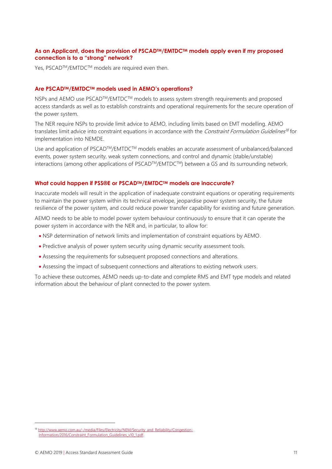#### **As an Applicant, does the provision of PSCADTM/EMTDCTM models apply even if my proposed connection is to a "strong" network?**

Yes, PSCAD™/EMTDC™ models are required even then.

#### **Are PSCADTM/EMTDCTM models used in AEMO's operations?**

NSPs and AEMO use PSCAD™/EMTDC™ models to assess system strength requirements and proposed access standards as well as to establish constraints and operational requirements for the secure operation of the power system.

The NER require NSPs to provide limit advice to AEMO, including limits based on EMT modelling. AEMO translates limit advice into constraint equations in accordance with the Constraint Formulation Guidelines<sup>18</sup> for implementation into NEMDE.

Use and application of PSCAD™/EMTDC™ models enables an accurate assessment of unbalanced/balanced events, power system security, weak system connections, and control and dynamic (stable/unstable) interactions (among other applications of PSCAD™/EMTDC™) between a GS and its surrounding network.

#### **What could happen if PSS®E or PSCADTM/EMTDCTM models are inaccurate?**

Inaccurate models will result in the application of inadequate constraint equations or operating requirements to maintain the power system within its technical envelope, jeopardise power system security, the future resilience of the power system, and could reduce power transfer capability for existing and future generation.

AEMO needs to be able to model power system behaviour continuously to ensure that it can operate the power system in accordance with the NER and, in particular, to allow for:

- NSP determination of network limits and implementation of constraint equations by AEMO.
- Predictive analysis of power system security using dynamic security assessment tools.
- Assessing the requirements for subsequent proposed connections and alterations.
- Assessing the impact of subsequent connections and alterations to existing network users.

To achieve these outcomes, AEMO needs up-to-date and complete RMS and EMT type models and related information about the behaviour of plant connected to the power system.

<sup>&</sup>lt;sup>18</sup> [http://www.aemo.com.au/-/media/Files/Electricity/NEM/Security\\_and\\_Reliability/Congestion-](http://www.aemo.com.au/-/media/Files/Electricity/NEM/Security_and_Reliability/Congestion-Information/2016/Constraint_Formulation_Guidelines_v10_1.pdf)Information/2016/Constraint\_Formulation\_Guidelines\_v10\_1.pdf.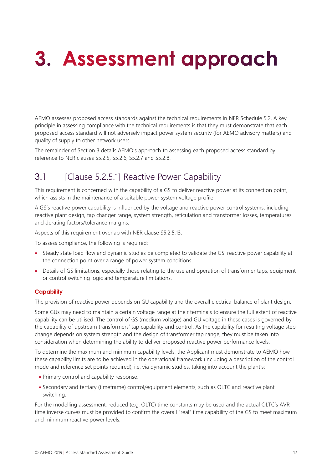# <span id="page-11-0"></span>3. Assessment approach

AEMO assesses proposed access standards against the technical requirements in NER Schedule 5.2. A key principle in assessing compliance with the technical requirements is that they must demonstrate that each proposed access standard will not adversely impact power system security (for AEMO advisory matters) and quality of supply to other network users.

The remainder of Section 3 details AEMO's approach to assessing each proposed access standard by reference to NER clauses S5.2.5, S5.2.6, S5.2.7 and S5.2.8.

## <span id="page-11-1"></span>3.1 [Clause 5.2.5.1] Reactive Power Capability

This requirement is concerned with the capability of a GS to deliver reactive power at its connection point, which assists in the maintenance of a suitable power system voltage profile.

A GS's reactive power capability is influenced by the voltage and reactive power control systems, including reactive plant design, tap changer range, system strength, reticulation and transformer losses, temperatures and derating factors/tolerance margins.

Aspects of this requirement overlap with NER clause S5.2.5.13.

To assess compliance, the following is required:

- Steady state load flow and dynamic studies be completed to validate the GS' reactive power capability at the connection point over a range of power system conditions.
- Details of GS limitations, especially those relating to the use and operation of transformer taps, equipment or control switching logic and temperature limitations.

#### **Capability**

The provision of reactive power depends on GU capability and the overall electrical balance of plant design.

Some GUs may need to maintain a certain voltage range at their terminals to ensure the full extent of reactive capability can be utilised. The control of GS (medium voltage) and GU voltage in these cases is governed by the capability of upstream transformers' tap capability and control. As the capability for resulting voltage step change depends on system strength and the design of transformer tap range, they must be taken into consideration when determining the ability to deliver proposed reactive power performance levels.

To determine the maximum and minimum capability levels, the Applicant must demonstrate to AEMO how these capability limits are to be achieved in the operational framework (including a description of the control mode and reference set points required), i.e. via dynamic studies, taking into account the plant's:

- Primary control and capability response.
- Secondary and tertiary (timeframe) control/equipment elements, such as OLTC and reactive plant switching.

For the modelling assessment, reduced (e.g. OLTC) time constants may be used and the actual OLTC's AVR time inverse curves must be provided to confirm the overall "real" time capability of the GS to meet maximum and minimum reactive power levels.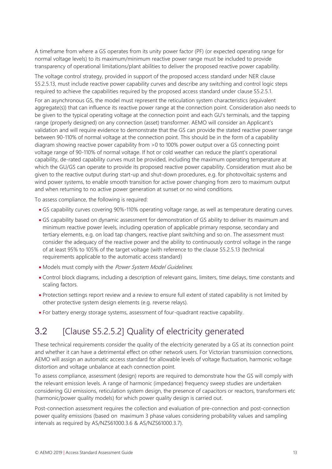A timeframe from where a GS operates from its unity power factor (PF) (or expected operating range for normal voltage levels) to its maximum/minimum reactive power range must be included to provide transparency of operational limitations/plant abilities to deliver the proposed reactive power capability.

The voltage control strategy, provided in support of the proposed access standard under NER clause S5.2.5.13, must include reactive power capability curves and describe any switching and control logic steps required to achieve the capabilities required by the proposed access standard under clause S5.2.5.1.

For an asynchronous GS, the model must represent the reticulation system characteristics (equivalent aggregate(s)) that can influence its reactive power range at the connection point. Consideration also needs to be given to the typical operating voltage at the connection point and each GU's terminals, and the tapping range (properly designed) on any connection (asset) transformer. AEMO will consider an Applicant's validation and will require evidence to demonstrate that the GS can provide the stated reactive power range between 90-110% of normal voltage at the connection point. This should be in the form of a capability diagram showing reactive power capability from >0 to 100% power output over a GS connecting point voltage range of 90-110% of normal voltage. If hot or cold weather can reduce the plant's operational capability, de-rated capability curves must be provided, including the maximum operating temperature at which the GU/GS can operate to provide its proposed reactive power capability. Consideration must also be given to the reactive output during start-up and shut-down procedures, e.g. for photovoltaic systems and wind power systems, to enable smooth transition for active power changing from zero to maximum output and when returning to no active power generation at sunset or no wind conditions.

To assess compliance, the following is required:

- GS capability curves covering 90%-110% operating voltage range, as well as temperature derating curves.
- GS capability based on dynamic assessment for demonstration of GS ability to deliver its maximum and minimum reactive power levels, including operation of applicable primary response, secondary and tertiary elements, e.g. on load tap changers, reactive plant switching and so on. The assessment must consider the adequacy of the reactive power and the ability to continuously control voltage in the range of at least 95% to 105% of the target voltage (with reference to the clause S5.2.5.13 (technical requirements applicable to the automatic access standard)
- Models must comply with the Power System Model Guidelines.
- Control block diagrams, including a description of relevant gains, limiters, time delays, time constants and scaling factors.
- Protection settings report review and a review to ensure full extent of stated capability is not limited by other protective system design elements (e.g. reverse relays).
- For battery energy storage systems, assessment of four-quadrant reactive capability.

## <span id="page-12-0"></span>3.2 [Clause S5.2.5.2] Quality of electricity generated

These technical requirements consider the quality of the electricity generated by a GS at its connection point and whether it can have a detrimental effect on other network users. For Victorian transmission connections, AEMO will assign an automatic access standard for allowable levels of voltage fluctuation, harmonic voltage distortion and voltage unbalance at each connection point.

To assess compliance, assessment (design) reports are required to demonstrate how the GS will comply with the relevant emission levels. A range of harmonic (impedance) frequency sweep studies are undertaken considering GU emissions, reticulation system design, the presence of capacitors or reactors, transformers etc (harmonic/power quality models) for which power quality design is carried out.

Post-connection assessment requires the collection and evaluation of pre-connection and post-connection power quality emissions (based on maximum 3 phase values considering probability values and sampling intervals as required by AS/NZS61000.3.6 & AS/NZS61000.3.7).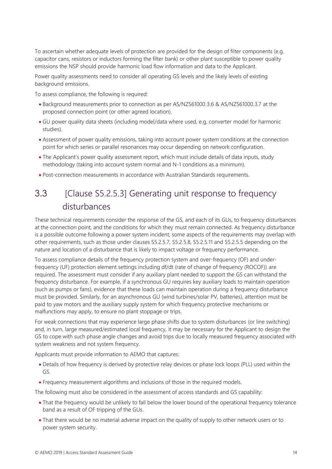To ascertain whether adequate levels of protection are provided for the design of filter components (e.g. capacitor cans, resistors or inductors forming the filter bank) or other plant susceptible to power quality emissions the NSP should provide harmonic load flow information and data to the Applicant.

Power quality assessments need to consider all operating GS levels and the likely levels of existing background emissions.

To assess compliance, the following is required:

- Background measurements prior to connection as per AS/NZS61000.3.6 & AS/NZS61000.3.7 at the proposed connection point (or other agreed location).
- GU power quality data sheets (including model/data where used, e.g. converter model for harmonic studies).
- Assessment of power quality emissions, taking into account power system conditions at the connection point for which series or parallel resonances may occur depending on network configuration.
- The Applicant's power quality assessment report, which must include details of data inputs, study methodology (taking into account system normal and N-1 conditions as a minimum).
- <span id="page-13-0"></span>• Post-connection measurements in accordance with Australian Standards requirements.

## 3.3 [Clause S5.2.5.3] Generating unit response to frequency disturbances

These technical requirements consider the response of the GS, and each of its GUs, to frequency disturbances at the connection point, and the conditions for which they must remain connected. As frequency disturbance is a possible outcome following a power system incident, some aspects of the requirements may overlap with other requirements, such as those under clauses S5.2.5.7, S5.2.5.8, S5.2.5.11 and S5.2.5.5 depending on the nature and location of a disturbance that is likely to impact voltage or frequency performance.

To assess compliance details of the frequency protection system and over-frequency (OF) and underfrequency (UF) protection element settings including df/dt (rate of change of frequency (ROCOF)) are required. The assessment must consider if any auxiliary plant needed to support the GS can withstand the frequency disturbance. For example, if a synchronous GU requires key auxiliary loads to maintain operation (such as pumps or fans), evidence that these loads can maintain operation during a frequency disturbance must be provided. Similarly, for an asynchronous GU (wind turbines/solar PV, batteries), attention must be paid to yaw motors and the auxiliary supply system for which frequency protective mechanisms or malfunctions may apply, to ensure no plant stoppage or trips.

For weak connections that may experience large phase shifts due to system disturbances (or line switching) and, in turn, large measured/estimated local frequency, it may be necessary for the Applicant to design the GS to cope with such phase angle changes and avoid trips due to locally measured frequency associated with system weakness and not system frequency.

Applicants must provide information to AEMO that captures:

- Details of how frequency is derived by protective relay devices or phase lock loops (PLL) used within the GS.
- Frequency measurement algorithms and inclusions of those in the required models.

The following must also be considered in the assessment of access standards and GS capability:

- That the frequency would be unlikely to fall below the lower bound of the operational frequency tolerance band as a result of OF tripping of the GUs.
- That there would be no material adverse impact on the quality of supply to other network users or to power system security.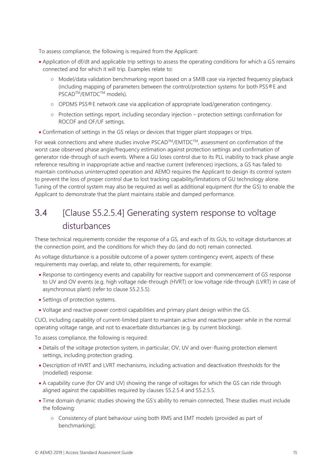To assess compliance, the following is required from the Applicant:

- Application of df/dt and applicable trip settings to assess the operating conditions for which a GS remains connected and for which it will trip. Examples relate to:
	- Model/data validation benchmarking report based on a SMIB case via injected frequency playback (including mapping of parameters between the control/protection systems for both PSS®E and PSCAD<sup>™</sup>/EMTDC<sup>™</sup> models).
	- OPDMS PSS®E network case via application of appropriate load/generation contingency.
	- Protection settings report, including secondary injection protection settings confirmation for ROCOF and OF/UF settings.
- Confirmation of settings in the GS relays or devices that trigger plant stoppages or trips.

For weak connections and where studies involve PSCAD™/EMTDC™, assessment on confirmation of the worst case observed phase angle/frequency estimation against protection settings and confirmation of generator ride-through of such events. Where a GU loses control due to its PLL inability to track phase angle reference resulting in inappropriate active and reactive current (references) injections, a GS has failed to maintain continuous uninterrupted operation and AEMO requires the Applicant to design its control system to prevent the loss of proper control due to lost tracking capability/limitations of GU technology alone. Tuning of the control system may also be required as well as additional equipment (for the GS) to enable the Applicant to demonstrate that the plant maintains stable and damped performance.

## <span id="page-14-0"></span>3.4 [Clause S5.2.5.4] Generating system response to voltage disturbances

These technical requirements consider the response of a GS, and each of its GUs, to voltage disturbances at the connection point, and the conditions for which they do (and do not) remain connected.

As voltage disturbance is a possible outcome of a power system contingency event, aspects of these requirements may overlap, and relate to, other requirements, for example:

- Response to contingency events and capability for reactive support and commencement of GS response to UV and OV events (e.g. high voltage ride-through (HVRT) or low voltage ride-through (LVRT) in case of asynchronous plant) (refer to clause S5.2.5.5).
- Settings of protection systems.
- Voltage and reactive power control capabilities and primary plant design within the GS.

CUO, including capability of current-limited plant to maintain active and reactive power while in the normal operating voltage range, and not to exacerbate disturbances (e.g. by current blocking).

To assess compliance, the following is required:

- Details of the voltage protection system, in particular, OV, UV and over-fluxing protection element settings, including protection grading.
- Description of HVRT and LVRT mechanisms, including activation and deactivation thresholds for the (modelled) response.
- A capability curve (for OV and UV) showing the range of voltages for which the GS can ride through aligned against the capabilities required by clauses S5.2.5.4 and S5.2.5.5.
- Time domain dynamic studies showing the GS's ability to remain connected, These studies must include the following:
	- Consistency of plant behaviour using both RMS and EMT models (provided as part of benchmarking);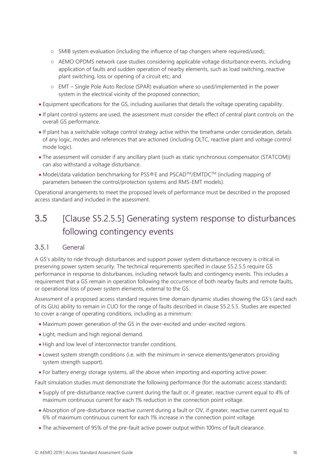- SMIB system evaluation (including the influence of tap changers where required/used);
- AEMO OPDMS network case studies considering applicable voltage disturbance events, including application of faults and sudden operation of nearby elements, such as load switching, reactive plant switching, loss or opening of a circuit etc; and
- EMT Single Pole Auto Reclose (SPAR) evaluation where so used/implemented in the power system in the electrical vicinity of the proposed connection;
- Equipment specifications for the GS, including auxiliaries that details the voltage operating capability.
- If plant control systems are used, the assessment must consider the effect of central plant controls on the overall GS performance.
- If plant has a switchable voltage control strategy active within the timeframe under consideration, details of any logic, modes and references that are actioned (including OLTC, reactive plant and voltage control mode logic).
- The assessment will consider if any ancillary plant (such as static synchronous compensator (STATCOM)) can also withstand a voltage disturbance.
- Model/data validation benchmarking for PSS®E and PSCADTM/EMTDCTM (including mapping of parameters between the control/protection systems and RMS-EMT models).

Operational arrangements to meet the proposed levels of performance must be described in the proposed access standard and included in the assessment.

## <span id="page-15-0"></span>3.5 [Clause S5.2.5.5] Generating system response to disturbances following contingency events

#### 3.5.1 General

A GS's ability to ride through disturbances and support power system disturbance recovery is critical in preserving power system security. The technical requirements specified in clause S5.2.5.5 require GS performance in response to disturbances, including network faults and contingency events. This includes a requirement that a GS remain in operation following the occurrence of both nearby faults and remote faults, or operational loss of power system elements, external to the GS.

Assessment of a proposed access standard requires time domain dynamic studies showing the GS's (and each of its GUs) ability to remain in CUO for the range of faults described in clause S5.2.5.5. Studies are expected to cover a range of operating conditions, including as a minimum:

- Maximum power generation of the GS in the over-excited and under-excited regions.
- Light, medium and high regional demand.
- High and low level of interconnector transfer conditions.
- Lowest system strength conditions (i.e. with the minimum in-service elements/generators providing system strength support).
- For battery energy storage systems, all the above when importing and exporting active power.

Fault simulation studies must demonstrate the following performance (for the automatic access standard):

- Supply of pre-disturbance reactive current during the fault or, if greater, reactive current equal to 4% of maximum continuous current for each 1% reduction in the connection point voltage.
- Absorption of pre-disturbance reactive current during a fault or OV, if greater, reactive current equal to 6% of maximum continuous current for each 1% increase in the connection point voltage.
- The achievement of 95% of the pre-fault active power output within 100ms of fault clearance.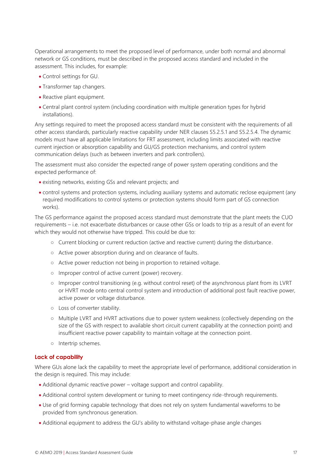Operational arrangements to meet the proposed level of performance, under both normal and abnormal network or GS conditions, must be described in the proposed access standard and included in the assessment. This includes, for example:

- Control settings for GU.
- Transformer tap changers.
- Reactive plant equipment.
- Central plant control system (including coordination with multiple generation types for hybrid installations).

Any settings required to meet the proposed access standard must be consistent with the requirements of all other access standards, particularly reactive capability under NER clauses S5.2.5.1 and S5.2.5.4. The dynamic models must have all applicable limitations for FRT assessment, including limits associated with reactive current injection or absorption capability and GU/GS protection mechanisms, and control system communication delays (such as between inverters and park controllers).

The assessment must also consider the expected range of power system operating conditions and the expected performance of:

- existing networks, existing GSs and relevant projects; and
- control systems and protection systems, including auxiliary systems and automatic reclose equipment (any required modifications to control systems or protection systems should form part of GS connection works).

The GS performance against the proposed access standard must demonstrate that the plant meets the CUO requirements – i.e. not exacerbate disturbances or cause other GSs or loads to trip as a result of an event for which they would not otherwise have tripped. This could be due to:

- Current blocking or current reduction (active and reactive current) during the disturbance.
- Active power absorption during and on clearance of faults.
- Active power reduction not being in proportion to retained voltage.
- Improper control of active current (power) recovery.
- Improper control transitioning (e.g. without control reset) of the asynchronous plant from its LVRT or HVRT mode onto central control system and introduction of additional post fault reactive power, active power or voltage disturbance.
- Loss of converter stability.
- Multiple LVRT and HVRT activations due to power system weakness (collectively depending on the size of the GS with respect to available short circuit current capability at the connection point) and insufficient reactive power capability to maintain voltage at the connection point.
- Intertrip schemes.

#### **Lack of capability**

Where GUs alone lack the capability to meet the appropriate level of performance, additional consideration in the design is required. This may include:

- Additional dynamic reactive power voltage support and control capability.
- Additional control system development or tuning to meet contingency ride-through requirements.
- Use of grid forming capable technology that does not rely on system fundamental waveforms to be provided from synchronous generation.
- Additional equipment to address the GU's ability to withstand voltage-phase angle changes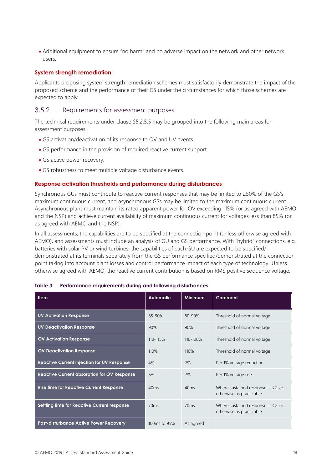• Additional equipment to ensure "no harm" and no adverse impact on the network and other network users.

#### **System strength remediation**

Applicants proposing system strength remediation schemes must satisfactorily demonstrate the impact of the proposed scheme and the performance of their GS under the circumstances for which those schemes are expected to apply.

#### 3.5.2 Requirements for assessment purposes

The technical requirements under clause S5.2.5.5 may be grouped into the following main areas for assessment purposes:

- GS activation/deactivation of its response to OV and UV events.
- GS performance in the provision of required reactive current support.
- GS active power recovery.
- GS robustness to meet multiple voltage disturbance events.

#### **Response activation thresholds and performance during disturbances**

Synchronous GUs must contribute to reactive current responses that may be limited to 250% of the GS's maximum continuous current, and asynchronous GSs may be limited to the maximum continuous current. Asynchronous plant must maintain its rated apparent power for OV exceeding 115% (or as agreed with AEMO and the NSP) and achieve current availability of maximum continuous current for voltages less than 85% (or as agreed with AEMO and the NSP).

In all assessments, the capabilities are to be specified at the connection point (unless otherwise agreed with AEMO), and assessments must include an analysis of GU and GS performance. With "hybrid" connections, e.g. batteries with solar PV or wind turbines, the capabilities of each GU are expected to be specified/ demonstrated at its terminals separately from the GS performance specified/demonstrated at the connection point taking into account plant losses and control performance impact of each type of technology. Unless otherwise agreed with AEMO, the reactive current contribution is based on RMS positive sequence voltage.

| <b>Item</b>                                        | <b>Automatic</b>         | <b>Minimum</b> | Comment                                                              |
|----------------------------------------------------|--------------------------|----------------|----------------------------------------------------------------------|
| <b>UV Activation Response</b>                      | 85-90%                   | $80 - 90%$     | Threshold of normal voltage                                          |
| <b>UV Deactivation Response</b>                    | 90%                      | 90%            | Threshold of normal voltage                                          |
| <b>OV Activation Response</b>                      | 110-115%                 | 110-120%       | Threshold of normal voltage                                          |
| <b>OV Deactivation Response</b>                    | 110%                     | 110%           | Threshold of normal voltage                                          |
| <b>Reactive Current injection for UV Response</b>  | 4%                       | 2%             | Per 1% voltage reduction                                             |
| <b>Reactive Current absorption for OV Response</b> | 6%                       | 2%             | Per 1% voltage rise                                                  |
| <b>Rise time for Reactive Current Response</b>     | 40ms                     | 40ms           | Where sustained response is $\leq$ 2sec,<br>otherwise as practicable |
| Settling time for Reactive Current response        | 70ms                     | 70ms           | Where sustained response is $\leq$ 2sec,<br>otherwise as practicable |
| <b>Post-disturbance Active Power Recovery</b>      | 100 <sub>ms</sub> to 95% | As agreed      |                                                                      |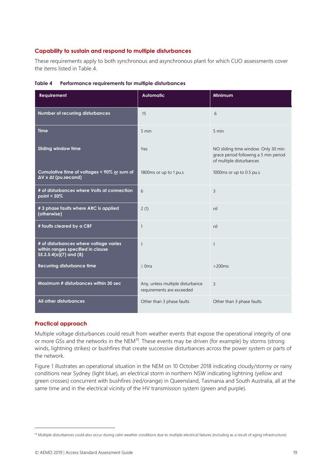#### **Capability to sustain and respond to multiple disturbances**

These requirements apply to both synchronous and asynchronous plant for which CUO assessments cover the items listed in [Table 4.](#page-18-0)

| <b>Requirement</b>                                                                                     | <b>Automatic</b>                                              | Minimum                                                                                                  |
|--------------------------------------------------------------------------------------------------------|---------------------------------------------------------------|----------------------------------------------------------------------------------------------------------|
| Number of recurring disturbances                                                                       | 15                                                            | 6                                                                                                        |
| <b>Time</b>                                                                                            | 5 min                                                         | 5 min                                                                                                    |
| <b>Sliding window time</b>                                                                             | Yes                                                           | NO sliding time window. Only 30 min<br>grace period following a 5 min period<br>of multiple disturbances |
| Cumulative time of voltages < 90% or sum of<br>$\Delta V \times \Delta t$ (pu.second)                  | 1800ms or up to 1 pu.s                                        | 1000ms or up to 0.5 pu.s                                                                                 |
| # of disturbances where Volts at connection<br>point $< 50\%$                                          | 6                                                             | 3                                                                                                        |
| # 3 phase faults where ARC is applied<br>(otherwise)                                                   | 2(1)                                                          | nil                                                                                                      |
| # faults cleared by a CBF                                                                              | $\mathbf{1}$                                                  | nil                                                                                                      |
| # of disturbances where voltage varies<br>within ranges specified in clause<br>\$5.2.5.4(a)(7) and (8) | $\mathbf{1}$                                                  | $\mathbf{1}$                                                                                             |
| <b>Recurring disturbance time</b>                                                                      | $\geq$ 0 ms                                                   | $>200ms$                                                                                                 |
| Maximum # disturbances within 30 sec                                                                   | Any, unless multiple disturbance<br>requirements are exceeded | 3                                                                                                        |
| All other disturbances                                                                                 | Other than 3 phase faults                                     | Other than 3 phase faults                                                                                |

<span id="page-18-0"></span>

| Table 4 | Performance requirements for multiple disturbances |  |
|---------|----------------------------------------------------|--|
|         |                                                    |  |

#### **Practical approach**

 $\overline{a}$ 

Multiple voltage disturbances could result from weather events that expose the operational integrity of one or more GSs and the networks in the NEM<sup>19</sup>. These events may be driven (for example) by storms (strong winds, lightning strikes) or bushfires that create successive disturbances across the power system or parts of the network.

Figure 1 illustrates an operational situation in the NEM on 10 October 2018 indicating cloudy/stormy or rainy conditions near Sydney (light blue), an electrical storm in northern NSW indicating lightning (yellow and green crosses) concurrent with bushfires (red/orange) in Queensland, Tasmania and South Australia, all at the same time and in the electrical vicinity of the HV transmission system (green and purple).

<sup>&</sup>lt;sup>19</sup> Multiple disturbances could also occur during calm weather conditions due to multiple electrical failures (including as a result of aging infrastructure)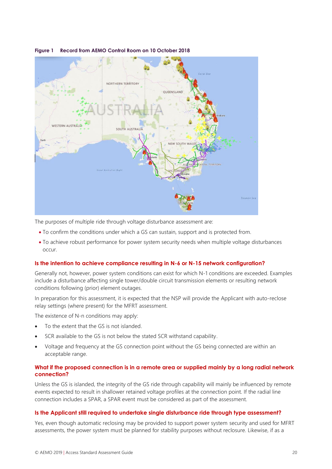

#### **Figure 1 Record from AEMO Control Room on 10 October 2018**

The purposes of multiple ride through voltage disturbance assessment are:

- To confirm the conditions under which a GS can sustain, support and is protected from.
- To achieve robust performance for power system security needs when multiple voltage disturbances occur.

#### **Is the intention to achieve compliance resulting in N-6 or N-15 network configuration?**

Generally not, however, power system conditions can exist for which N-1 conditions are exceeded. Examples include a disturbance affecting single tower/double circuit transmission elements or resulting network conditions following (prior) element outages.

In preparation for this assessment, it is expected that the NSP will provide the Applicant with auto-reclose relay settings (where present) for the MFRT assessment.

The existence of N-n conditions may apply:

- To the extent that the GS is not islanded.
- SCR available to the GS is not below the stated SCR withstand capability.
- Voltage and frequency at the GS connection point without the GS being connected are within an acceptable range.

#### **What if the proposed connection is in a remote area or supplied mainly by a long radial network connection?**

Unless the GS is islanded, the integrity of the GS ride through capability will mainly be influenced by remote events expected to result in shallower retained voltage profiles at the connection point. If the radial line connection includes a SPAR, a SPAR event must be considered as part of the assessment.

#### **Is the Applicant still required to undertake single disturbance ride through type assessment?**

Yes, even though automatic reclosing may be provided to support power system security and used for MFRT assessments, the power system must be planned for stability purposes without reclosure. Likewise, if as a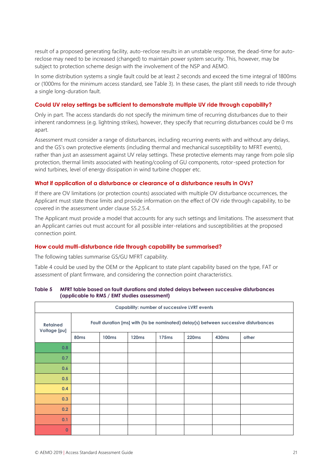result of a proposed generating facility, auto-reclose results in an unstable response, the dead-time for autoreclose may need to be increased (changed) to maintain power system security. This, however, may be subject to protection scheme design with the involvement of the NSP and AEMO.

In some distribution systems a single fault could be at least 2 seconds and exceed the time integral of 1800ms or (1000ms for the minimum access standard, see Table 3). In these cases, the plant still needs to ride through a single long-duration fault.

#### **Could UV relay settings be sufficient to demonstrate multiple UV ride through capability?**

Only in part. The access standards do not specify the minimum time of recurring disturbances due to their inherent randomness (e.g. lightning strikes), however, they specify that recurring disturbances could be 0 ms apart.

Assessment must consider a range of disturbances, including recurring events with and without any delays, and the GS's own protective elements (including thermal and mechanical susceptibility to MFRT events), rather than just an assessment against UV relay settings. These protective elements may range from pole slip protection, thermal limits associated with heating/cooling of GU components, rotor-speed protection for wind turbines, level of energy dissipation in wind turbine chopper etc.

#### **What if application of a disturbance or clearance of a disturbance results in OVs?**

If there are OV limitations (or protection counts) associated with multiple OV disturbance occurrences, the Applicant must state those limits and provide information on the effect of OV ride through capability, to be covered in the assessment under clause S5.2.5.4.

The Applicant must provide a model that accounts for any such settings and limitations. The assessment that an Applicant carries out must account for all possible inter-relations and susceptibilities at the proposed connection point.

#### **How could multi-disturbance ride through capability be summarised?**

The following tables summarise GS/GU MFRT capability.

Table 4 could be used by the OEM or the Applicant to state plant capability based on the type, FAT or assessment of plant firmware, and considering the connection point characteristics.

#### **Table 5 MFRT table based on fault durations and stated delays between successive disturbances (applicable to RMS / EMT studies assessment)**

| <b>Capability: number of successive LVRT events</b> |                                                                                     |              |                   |                   |              |                   |       |
|-----------------------------------------------------|-------------------------------------------------------------------------------------|--------------|-------------------|-------------------|--------------|-------------------|-------|
| <b>Retained</b><br>Voltage [pu]                     | Fault duration [ms] with (to be nominated) delay(s) between successive disturbances |              |                   |                   |              |                   |       |
|                                                     | 80 <sub>ms</sub>                                                                    | <b>100ms</b> | 120 <sub>ms</sub> | 175 <sub>ms</sub> | <b>220ms</b> | 430 <sub>ms</sub> | other |
| 0.8                                                 |                                                                                     |              |                   |                   |              |                   |       |
| 0.7                                                 |                                                                                     |              |                   |                   |              |                   |       |
| 0.6                                                 |                                                                                     |              |                   |                   |              |                   |       |
| 0.5                                                 |                                                                                     |              |                   |                   |              |                   |       |
| 0.4                                                 |                                                                                     |              |                   |                   |              |                   |       |
| 0.3                                                 |                                                                                     |              |                   |                   |              |                   |       |
| 0.2                                                 |                                                                                     |              |                   |                   |              |                   |       |
| 0.1                                                 |                                                                                     |              |                   |                   |              |                   |       |
| $\mathbf 0$                                         |                                                                                     |              |                   |                   |              |                   |       |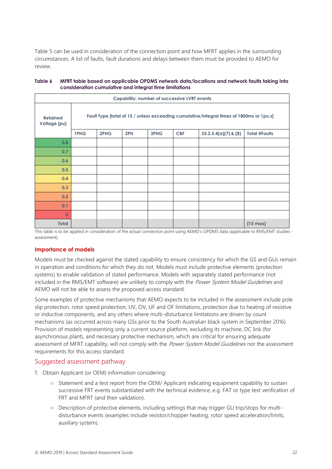Table 5 can be used in consideration of the connection point and how MFRT applies in the surrounding circumstances. A list of faults, fault durations and delays between them must be provided to AEMO for review.

| <b>Capability: number of successive LVRT events</b> |                                                                                          |      |     |      |            |                        |                      |
|-----------------------------------------------------|------------------------------------------------------------------------------------------|------|-----|------|------------|------------------------|----------------------|
| <b>Retained</b><br>Voltage [pu]                     | Fault Type [total of 15 / unless exceeding cumulative/integral times of 1800ms or 1pu.s] |      |     |      |            |                        |                      |
|                                                     | 1PHG                                                                                     | 2PHG | 2PH | 3PHG | <b>CBF</b> | $S5.2.5.4(a)(7)$ & (8) | <b>Total #Faults</b> |
| 0.8                                                 |                                                                                          |      |     |      |            |                        |                      |
| 0.7                                                 |                                                                                          |      |     |      |            |                        |                      |
| 0.6                                                 |                                                                                          |      |     |      |            |                        |                      |
| 0.5                                                 |                                                                                          |      |     |      |            |                        |                      |
| 0.4                                                 |                                                                                          |      |     |      |            |                        |                      |
| 0.3                                                 |                                                                                          |      |     |      |            |                        |                      |
| 0.2                                                 |                                                                                          |      |     |      |            |                        |                      |
| 0.1                                                 |                                                                                          |      |     |      |            |                        |                      |
| $\mathbf 0$                                         |                                                                                          |      |     |      |            |                        |                      |
| <b>Total</b>                                        |                                                                                          |      |     |      |            |                        | $[15 \text{ max}]$   |

#### **Table 6 MFRT table based on applicable OPDMS network data/locations and network faults taking into consideration cumulative and integral time limitations**

This table is to be applied in consideration of the actual connection point using AEMO's OPDMS data (applicable to RMS/EMT studies assessment).

#### **Importance of models**

Models must be checked against the stated capability to ensure consistency for which the GS and GUs remain in operation and conditions for which they do not. Models must include protective elements (protection systems) to enable validation of stated performance. Models with separately stated performance (not included in the RMS/EMT software) are unlikely to comply with the Power System Model Guidelines and AEMO will not be able to assess the proposed access standard.

Some examples of protective mechanisms that AEMO expects to be included in the assessment include pole slip protection, rotor speed protection, UV, OV, UF and OF limitations, protection due to heating of resistive or inductive components, and any others where multi-disturbance limitations are driven by count mechanisms (as occurred across many GSs prior to the South Australian black system in September 2016). Provision of models representing only a current source platform, excluding its machine, DC link (for asynchronous plant), and necessary protective mechanism, which are critical for ensuring adequate assessment of MFRT capability, will not comply with the Power System Model Guidelines nor the assessment requirements for this access standard.

#### Suggested assessment pathway

- 1. Obtain Applicant (or OEM) information considering:
	- Statement and a test report from the OEM/ Applicant indicating equipment capability to sustain successive FRT events substantiated with the technical evidence, e.g. FAT or type test verification of FRT and MFRT (and their validation).
	- Description of protective elements, including settings that may trigger GU trip/stops for multidisturbance events (examples include resistor/chopper heating, rotor speed acceleration/limits, auxiliary system).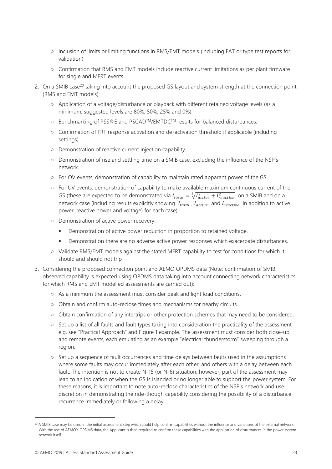- Inclusion of limits or limiting functions in RMS/EMT models (including FAT or type test reports for validation)
- Confirmation that RMS and EMT models include reactive current limitations as per plant firmware for single and MFRT events.
- 2. On a SMIB case<sup>20</sup> taking into account the proposed GS layout and system strength at the connection point (RMS and EMT models):
	- Application of a voltage/disturbance or playback with different retained voltage levels (as a minimum, suggested levels are 80%, 50%, 25% and 0%):
	- Benchmarking of PSS®E and PSCADTM/EMTDCTM results for balanced disturbances.
	- Confirmation of FRT response activation and de-activation threshold if applicable (including settings).
	- Demonstration of reactive current injection capability.
	- Demonstration of rise and settling time on a SMIB case, excluding the influence of the NSP's network.
	- For OV events, demonstration of capability to maintain rated apparent power of the GS.
	- For UV events, demonstration of capability to make available maximum continuous current of the GS (these are expected to be demonstrated via  $I_{total} = \sqrt[2]{I_{active}^2 + I_{reactive}^2}$  on a SMIB and on a network case (including results explicitly showing  $I_{total}$ ,  $I_{active}$  and  $I_{reactive}$  in addition to active power, reactive power and voltage) for each case).
	- Demonstration of active power recovery:
		- Demonstration of active power reduction in proportion to retained voltage.
		- **•** Demonstration there are no adverse active power responses which exacerbate disturbances.
	- Validate RMS/EMT models against the stated MFRT capability to test for conditions for which it should and should not trip
- 3. Considering the proposed connection point and AEMO OPDMS data (Note: confirmation of SMIB observed capability is expected using OPDMS data taking into account connecting network characteristics for which RMS and EMT modelled assessments are carried out):
	- As a minimum the assessment must consider peak and light load conditions.
	- Obtain and confirm auto-reclose times and mechanisms for nearby circuits.
	- Obtain confirmation of any intertrips or other protection schemes that may need to be considered.
	- Set up a list of all faults and fault types taking into consideration the practicality of the assessment, e.g. see "Practical Approach" and Figure 1 example. The assessment must consider both close-up and remote events, each emulating as an example "electrical thunderstorm" sweeping through a region.
	- Set up a sequence of fault occurrences and time delays between faults used in the assumptions where some faults may occur immediately after each other, and others with a delay between each fault. The intention is not to create N-15 (or N-6) situation, however, part of the assessment may lead to an indication of when the GS is islanded or no longer able to support the power system. For these reasons, it is important to note auto-reclose characteristics of the NSP's network and use discretion in demonstrating the ride-though capability considering the possibility of a disturbance recurrence immediately or following a delay.

<sup>&</sup>lt;sup>20</sup> A SMIB case may be used in the initial assessment step which could help confirm capabilities without the influence and variations of the external network. With the use of AEMO's OPDMS data, the Applicant is then required to confirm these capabilities with the application of disturbances in the power system network itself.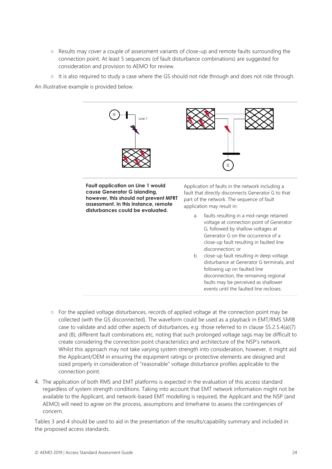- Results may cover a couple of assessment variants of close-up and remote faults surrounding the connection point. At least 5 sequences (of fault disturbance combinations) are suggested for consideration and provision to AEMO for review.
- $\circ$  It is also required to study a case where the GS should not ride through and does not ride through.

An illustrative example is provided below.



- For the applied voltage disturbances, records of applied voltage at the connection point may be collected (with the GS disconnected). The waveform could be used as a playback in EMT/RMS SMIB case to validate and add other aspects of disturbances, e.g. those referred to in clause S5.2.5.4(a)(7) and (8), different fault combinations etc, noting that such prolonged voltage sags may be difficult to create considering the connection point characteristics and architecture of the NSP's network. Whilst this approach may not take varying system strength into consideration, however, it might aid the Applicant/OEM in ensuring the equipment ratings or protective elements are designed and sized properly in consideration of "reasonable" voltage disturbance profiles applicable to the connection point.
- 4. The application of both RMS and EMT platforms is expected in the evaluation of this access standard regardless of system strength conditions. Taking into account that EMT network information might not be available to the Applicant, and network-based EMT modelling is required, the Applicant and the NSP (and AEMO) will need to agree on the process, assumptions and timeframe to assess the contingencies of concern.

Tables 3 and 4 should be used to aid in the presentation of the results/capability summary and included in the proposed access standards.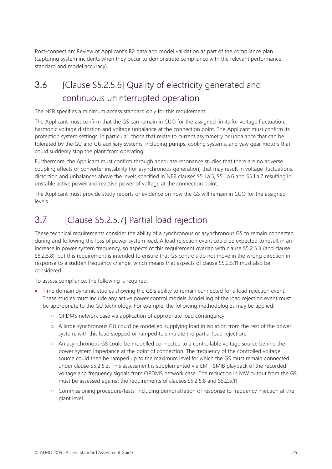Post-connection: Review of Applicant's R2 data and model validation as part of the compliance plan (capturing system incidents when they occur to demonstrate compliance with the relevant performance standard and model accuracy).

## <span id="page-24-0"></span>3.6 [Clause S5.2.5.6] Quality of electricity generated and continuous uninterrupted operation

The NER specifies a minimum access standard only for this requirement.

The Applicant must confirm that the GS can remain in CUO for the assigned limits for voltage fluctuation, harmonic voltage distortion and voltage unbalance at the connection point. The Applicant must confirm its protection system settings, in particular, those that relate to current asymmetry or unbalance that can be tolerated by the GU and GU auxiliary systems, including pumps, cooling systems, and yaw gear motors that could suddenly stop the plant from operating.

Furthermore, the Applicant must confirm through adequate resonance studies that there are no adverse coupling effects or converter instability (for asynchronous generation) that may result in voltage fluctuations, distortion and unbalances above the levels specified in NER clauses S5.1.a.5, S5.1.a.6 and S5.1.a.7 resulting in unstable active power and reactive power of voltage at the connection point.

The Applicant must provide study reports or evidence on how the GS will remain in CUO for the assigned levels.

## <span id="page-24-1"></span>3.7 [Clause S5.2.5.7] Partial load rejection

These technical requirements consider the ability of a synchronous or asynchronous GS to remain connected during and following the loss of power system load. A load rejection event could be expected to result in an increase in power system frequency, so aspects of this requirement overlap with clause S5.2.5.3 (and clause S5.2.5.8), but this requirement is intended to ensure that GS controls do not move in the wrong direction in response to a sudden frequency change, which means that aspects of clause S5.2.5.11 must also be considered.

To assess compliance, the following is required:

- Time domain dynamic studies showing the GS's ability to remain connected for a load rejection event. These studies must include any active power control models. Modelling of the load rejection event must be appropriate to the GU technology. For example, the following methodologies may be applied:
	- OPDMS network case via application of appropriate load contingency.
	- A large synchronous GU could be modelled supplying load in isolation from the rest of the power system, with this load stepped or ramped to simulate the partial load rejection.
	- An asynchronous GS could be modelled connected to a controllable voltage source behind the power system impedance at the point of connection. The frequency of the controlled voltage source could then be ramped up to the maximum level for which the GS must remain connected under clause S5.2.5.3. This assessment is supplemented via EMT-SMIB playback of the recorded voltage and frequency signals from OPDMS network case. The reduction in MW output from the GS must be assessed against the requirements of clauses S5.2.5.8 and S5.2.5.11.
	- Commissioning procedure/tests, including demonstration of response to frequency injection at the plant level.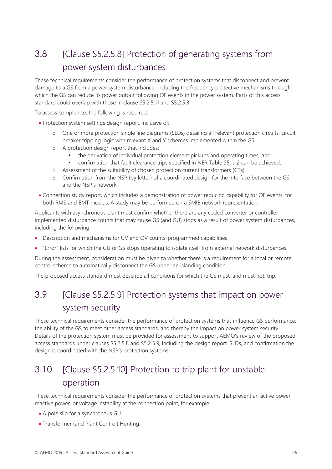## <span id="page-25-0"></span>3.8 [Clause S5.2.5.8] Protection of generating systems from power system disturbances

These technical requirements consider the performance of protection systems that disconnect and prevent damage to a GS from a power system disturbance, including the frequency protective mechanisms through which the GS can reduce its power output following OF events in the power system. Parts of this access standard could overlap with those in clause S5.2.5.11 and S5.2.5.3.

To assess compliance, the following is required:

- Protection system settings design report, inclusive of:
	- o One or more protection single line diagrams (SLDs) detailing all relevant protection circuits, circuit breaker tripping logic with relevant X and Y schemes implemented within the GS.
	- o A protection design report that includes:
		- **•** the derivation of individual protection element pickups and operating times; and
		- confirmation that fault clearance trips specified in NER Table S5.1a.2 can be achieved.
	- o Assessment of the suitability of chosen protection current transformers (CTs).
	- o Confirmation from the NSP (by letter) of a coordinated design for the interface between the GS and the NSP's network.
- Connection study report, which includes a demonstration of power reducing capability for OF events, for both RMS and EMT models. A study may be performed on a SMIB network representation.

Applicants with asynchronous plant must confirm whether there are any coded converter or controller implemented disturbance counts that may cause GS (and GU) stops as a result of power system disturbances, including the following:

- Description and mechanisms for UV and OV counts-programmed capabilities.
- "Error" lists for which the GU or GS stops operating to isolate itself from external network disturbances.

During the assessment, consideration must be given to whether there is a requirement for a local or remote control scheme to automatically disconnect the GS under an islanding condition.

<span id="page-25-1"></span>The proposed access standard must describe all conditions for which the GS must, and must not, trip.

## 3.9 [Clause S5.2.5.9] Protection systems that impact on power system security

These technical requirements consider the performance of protection systems that influence GS performance, the ability of the GS to meet other access standards, and thereby the impact on power system security. Details of the protection system must be provided for assessment to support AEMO's review of the proposed access standards under clauses S5.2.5.8 and S5.2.5.9, including the design report, SLDs, and confirmation the design is coordinated with the NSP's protection systems.

## <span id="page-25-2"></span>3.10 [Clause S5.2.5.10] Protection to trip plant for unstable operation

These technical requirements consider the performance of protection systems that prevent an active power, reactive power, or voltage instability at the connection point, for example:

- A pole slip for a synchronous GU.
- Transformer (and Plant Control) Hunting.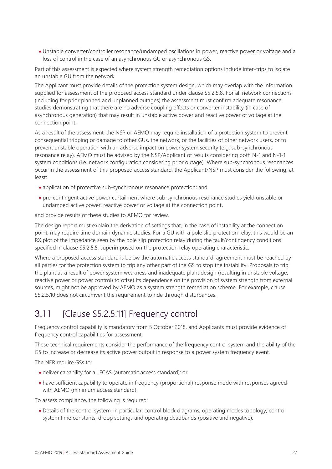• Unstable converter/controller resonance/undamped oscillations in power, reactive power or voltage and a loss of control in the case of an asynchronous GU or asynchronous GS.

Part of this assessment is expected where system strength remediation options include inter-trips to isolate an unstable GU from the network.

The Applicant must provide details of the protection system design, which may overlap with the information supplied for assessment of the proposed access standard under clause S5.2.5.8. For all network connections (including for prior planned and unplanned outages) the assessment must confirm adequate resonance studies demonstrating that there are no adverse coupling effects or converter instability (in case of asynchronous generation) that may result in unstable active power and reactive power of voltage at the connection point.

As a result of the assessment, the NSP or AEMO may require installation of a protection system to prevent consequential tripping or damage to other GUs, the network, or the facilities of other network users, or to prevent unstable operation with an adverse impact on power system security (e.g. sub-synchronous resonance relay). AEMO must be advised by the NSP/Applicant of results considering both N-1 and N-1-1 system conditions (i.e. network configuration considering prior outage). Where sub-synchronous resonances occur in the assessment of this proposed access standard, the Applicant/NSP must consider the following, at least:

- application of protective sub-synchronous resonance protection; and
- pre-contingent active power curtailment where sub-synchronous resonance studies yield unstable or undamped active power, reactive power or voltage at the connection point,

and provide results of these studies to AEMO for review.

The design report must explain the derivation of settings that, in the case of instability at the connection point, may require time domain dynamic studies. For a GU with a pole slip protection relay, this would be an RX plot of the impedance seen by the pole slip protection relay during the fault/contingency conditions specified in clause S5.2.5.5, superimposed on the protection relay operating characteristic.

Where a proposed access standard is below the automatic access standard, agreement must be reached by all parties for the protection system to trip any other part of the GS to stop the instability. Proposals to trip the plant as a result of power system weakness and inadequate plant design (resulting in unstable voltage, reactive power or power control) to offset its dependence on the provision of system strength from external sources, might not be approved by AEMO as a system strength remediation scheme. For example, clause S5.2.5.10 does not circumvent the requirement to ride through disturbances.

## <span id="page-26-0"></span>3.11 [Clause S5.2.5.11] Frequency control

Frequency control capability is mandatory from 5 October 2018, and Applicants must provide evidence of frequency control capabilities for assessment.

These technical requirements consider the performance of the frequency control system and the ability of the GS to increase or decrease its active power output in response to a power system frequency event.

The NER require GSs to:

- deliver capability for all FCAS (automatic access standard); or
- have sufficient capability to operate in frequency (proportional) response mode with responses agreed with AEMO (minimum access standard).

To assess compliance, the following is required:

• Details of the control system, in particular, control block diagrams, operating modes topology, control system time constants, droop settings and operating deadbands (positive and negative).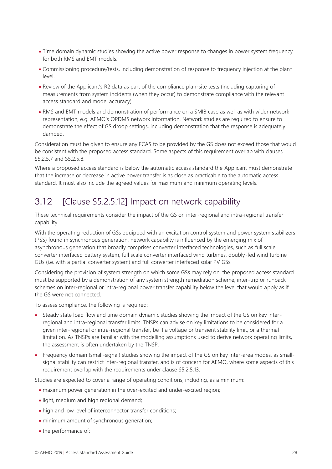- Time domain dynamic studies showing the active power response to changes in power system frequency for both RMS and EMT models.
- Commissioning procedure/tests, including demonstration of response to frequency injection at the plant level.
- Review of the Applicant's R2 data as part of the compliance plan-site tests (including capturing of measurements from system incidents (when they occur) to demonstrate compliance with the relevant access standard and model accuracy)
- RMS and EMT models and demonstration of performance on a SMIB case as well as with wider network representation, e.g. AEMO's OPDMS network information. Network studies are required to ensure to demonstrate the effect of GS droop settings, including demonstration that the response is adequately damped.

Consideration must be given to ensure any FCAS to be provided by the GS does not exceed those that would be consistent with the proposed access standard. Some aspects of this requirement overlap with clauses S5.2.5.7 and S5.2.5.8.

Where a proposed access standard is below the automatic access standard the Applicant must demonstrate that the increase or decrease in active power transfer is as close as practicable to the automatic access standard. It must also include the agreed values for maximum and minimum operating levels.

## <span id="page-27-0"></span>3.12 [Clause S5.2.5.12] Impact on network capability

These technical requirements consider the impact of the GS on inter-regional and intra-regional transfer capability.

With the operating reduction of GSs equipped with an excitation control system and power system stabilizers (PSS) found in synchronous generation, network capability is influenced by the emerging mix of asynchronous generation that broadly comprises converter interfaced technologies, such as full scale converter interfaced battery system, full scale converter interfaced wind turbines, doubly-fed wind turbine GUs (i.e. with a partial converter system) and full converter interfaced solar PV GSs.

Considering the provision of system strength on which some GSs may rely on, the proposed access standard must be supported by a demonstration of any system strength remediation scheme, inter-trip or runback schemes on inter-regional or intra-regional power transfer capability below the level that would apply as if the GS were not connected.

To assess compliance, the following is required:

- Steady state load flow and time domain dynamic studies showing the impact of the GS on key interregional and intra-regional transfer limits. TNSPs can advise on key limitations to be considered for a given inter-regional or intra-regional transfer, be it a voltage or transient stability limit, or a thermal limitation. As TNSPs are familiar with the modelling assumptions used to derive network operating limits, the assessment is often undertaken by the TNSP.
- Frequency domain (small-signal) studies showing the impact of the GS on key inter-area modes, as smallsignal stability can restrict inter-regional transfer, and is of concern for AEMO, where some aspects of this requirement overlap with the requirements under clause S5.2.5.13.

Studies are expected to cover a range of operating conditions, including, as a minimum:

- maximum power generation in the over-excited and under-excited region;
- light, medium and high regional demand;
- high and low level of interconnector transfer conditions;
- minimum amount of synchronous generation;
- the performance of: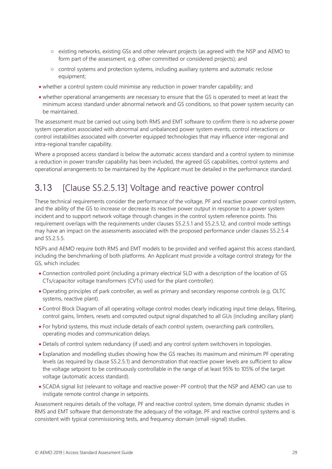- existing networks, existing GSs and other relevant projects (as agreed with the NSP and AEMO to form part of the assessment, e.g. other committed or considered projects); and
- control systems and protection systems, including auxiliary systems and automatic reclose equipment;
- whether a control system could minimise any reduction in power transfer capability; and
- whether operational arrangements are necessary to ensure that the GS is operated to meet at least the minimum access standard under abnormal network and GS conditions, so that power system security can be maintained.

The assessment must be carried out using both RMS and EMT software to confirm there is no adverse power system operation associated with abnormal and unbalanced power system events, control interactions or control instabilities associated with converter equipped technologies that may influence inter-regional and intra-regional transfer capability.

Where a proposed access standard is below the automatic access standard and a control system to minimise a reduction in power transfer capability has been included, the agreed GS capabilities, control systems and operational arrangements to be maintained by the Applicant must be detailed in the performance standard.

## <span id="page-28-0"></span>3.13 [Clause S5.2.5.13] Voltage and reactive power control

These technical requirements consider the performance of the voltage, PF and reactive power control system, and the ability of the GS to increase or decrease its reactive power output in response to a power system incident and to support network voltage through changes in the control system reference points. This requirement overlaps with the requirements under clauses S5.2.5.1 and S5.2.5.12, and control mode settings may have an impact on the assessments associated with the proposed performance under clauses S5.2.5.4 and S5.2.5.5.

NSPs and AEMO require both RMS and EMT models to be provided and verified against this access standard, including the benchmarking of both platforms. An Applicant must provide a voltage control strategy for the GS, which includes:

- Connection controlled point (including a primary electrical SLD with a description of the location of GS CTs/capacitor voltage transformers (CVTs) used for the plant controller).
- Operating principles of park controller, as well as primary and secondary response controls (e.g. OLTC systems, reactive plant).
- Control Block Diagram of all operating voltage control modes clearly indicating input time delays, filtering, control gains, limiters, resets and computed output signal dispatched to all GUs (including ancillary plant)
- For hybrid systems, this must include details of each control system, overarching park controllers, operating modes and communication delays.
- Details of control system redundancy (if used) and any control system switchovers in topologies.
- Explanation and modelling studies showing how the GS reaches its maximum and minimum PF operating levels (as required by clause S5.2.5.1) and demonstration that reactive power levels are sufficient to allow the voltage setpoint to be continuously controllable in the range of at least 95% to 105% of the target voltage (automatic access standard).
- SCADA signal list (relevant to voltage and reactive power-PF control) that the NSP and AEMO can use to instigate remote control change in setpoints.

Assessment requires details of the voltage, PF and reactive control system, time domain dynamic studies in RMS and EMT software that demonstrate the adequacy of the voltage, PF and reactive control systems and is consistent with typical commissioning tests, and frequency domain (small-signal) studies.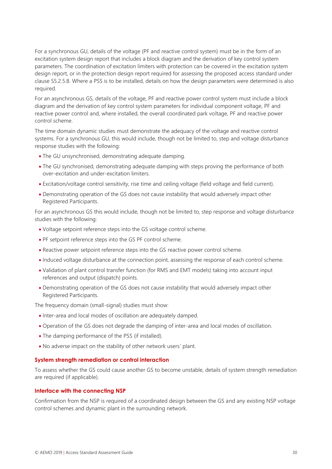For a synchronous GU, details of the voltage (PF and reactive control system) must be in the form of an excitation system design report that includes a block diagram and the derivation of key control system parameters. The coordination of excitation limiters with protection can be covered in the excitation system design report, or in the protection design report required for assessing the proposed access standard under clause S5.2.5.8. Where a PSS is to be installed, details on how the design parameters were determined is also required.

For an asynchronous GS, details of the voltage, PF and reactive power control system must include a block diagram and the derivation of key control system parameters for individual component voltage, PF and reactive power control and, where installed, the overall coordinated park voltage, PF and reactive power control scheme.

The time domain dynamic studies must demonstrate the adequacy of the voltage and reactive control systems. For a synchronous GU, this would include, though not be limited to, step and voltage disturbance response studies with the following:

- The GU unsynchronised, demonstrating adequate damping.
- The GU synchronised, demonstrating adequate damping with steps proving the performance of both over-excitation and under-excitation limiters.
- Excitation/voltage control sensitivity, rise time and ceiling voltage (field voltage and field current).
- Demonstrating operation of the GS does not cause instability that would adversely impact other Registered Participants.

For an asynchronous GS this would include, though not be limited to, step response and voltage disturbance studies with the following:

- Voltage setpoint reference steps into the GS voltage control scheme.
- PF setpoint reference steps into the GS PF control scheme.
- Reactive power setpoint reference steps into the GS reactive power control scheme.
- Induced voltage disturbance at the connection point, assessing the response of each control scheme.
- Validation of plant control transfer function (for RMS and EMT models) taking into account input references and output (dispatch) points.
- Demonstrating operation of the GS does not cause instability that would adversely impact other Registered Participants.

The frequency domain (small-signal) studies must show:

- Inter-area and local modes of oscillation are adequately damped.
- Operation of the GS does not degrade the damping of inter-area and local modes of oscillation.
- The damping performance of the PSS (if installed).
- No adverse impact on the stability of other network users' plant.

#### **System strength remediation or control interaction**

To assess whether the GS could cause another GS to become unstable, details of system strength remediation are required (if applicable).

#### **Interface with the connecting NSP**

Confirmation from the NSP is required of a coordinated design between the GS and any existing NSP voltage control schemes and dynamic plant in the surrounding network.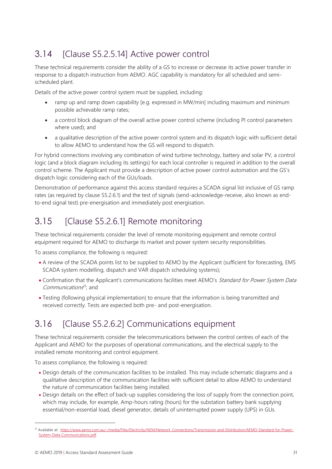## <span id="page-30-0"></span>3.14 [Clause S5.2.5.14] Active power control

These technical requirements consider the ability of a GS to increase or decrease its active power transfer in response to a dispatch instruction from AEMO. AGC capability is mandatory for all scheduled and semischeduled plant.

Details of the active power control system must be supplied, including:

- ramp up and ramp down capability [e.g. expressed in MW/min] including maximum and minimum possible achievable ramp rates;
- a control block diagram of the overall active power control scheme (including PI control parameters where used); and
- a qualitative description of the active power control system and its dispatch logic with sufficient detail to allow AEMO to understand how the GS will respond to dispatch.

For hybrid connections involving any combination of wind turbine technology, battery and solar PV, a control logic (and a block diagram including its settings) for each local controller is required in addition to the overall control scheme. The Applicant must provide a description of active power control automation and the GS's dispatch logic considering each of the GUs/loads.

Demonstration of performance against this access standard requires a SCADA signal list inclusive of GS ramp rates (as required by clause S5.2.6.1) and the test of signals (send-acknowledge-receive, also known as endto-end signal test) pre-energisation and immediately post energisation.

## <span id="page-30-1"></span>3.15 [Clause S5.2.6.1] Remote monitoring

These technical requirements consider the level of remote monitoring equipment and remote control equipment required for AEMO to discharge its market and power system security responsibilities.

To assess compliance, the following is required:

- A review of the SCADA points list to be supplied to AEMO by the Applicant (sufficient for forecasting, EMS SCADA system modelling, dispatch and VAR dispatch scheduling systems);
- Confirmation that the Applicant's communications facilities meet AEMO's Standard for Power System Data Communications<sup>21</sup>; and
- Testing (following physical implementation) to ensure that the information is being transmitted and received correctly. Tests are expected both pre- and post-energisation.

## <span id="page-30-2"></span>3.16 [Clause S5.2.6.2] Communications equipment

These technical requirements consider the telecommunications between the control centres of each of the Applicant and AEMO for the purposes of operational communications, and the electrical supply to the installed remote monitoring and control equipment.

To assess compliance, the following is required:

- Design details of the communication facilities to be installed. This may include schematic diagrams and a qualitative description of the communication facilities with sufficient detail to allow AEMO to understand the nature of communication facilities being installed.
- Design details on the effect of back-up supplies considering the loss of supply from the connection point, which may include, for example, Amp-hours rating (hours) for the substation battery bank supplying essential/non-essential load, diesel generator, details of uninterrupted power supply (UPS) in GUs.

<sup>21</sup> Available at: [https://www.aemo.com.au/-/media/Files/Electricity/NEM/Network\\_Connections/Transmission-and-Distribution/AEMO-Standard-for-Power-](https://www.aemo.com.au/-/media/Files/Electricity/NEM/Network_Connections/Transmission-and-Distribution/AEMO-Standard-for-Power-System-Data-Communications.pdf)[System-Data-Communications.pdf](https://www.aemo.com.au/-/media/Files/Electricity/NEM/Network_Connections/Transmission-and-Distribution/AEMO-Standard-for-Power-System-Data-Communications.pdf)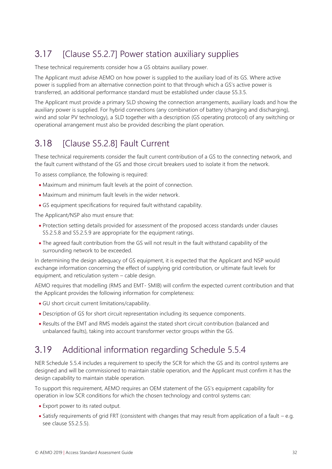## <span id="page-31-0"></span>3.17 [Clause S5.2.7] Power station auxiliary supplies

These technical requirements consider how a GS obtains auxiliary power.

The Applicant must advise AEMO on how power is supplied to the auxiliary load of its GS. Where active power is supplied from an alternative connection point to that through which a GS's active power is transferred, an additional performance standard must be established under clause S5.3.5.

The Applicant must provide a primary SLD showing the connection arrangements, auxiliary loads and how the auxiliary power is supplied. For hybrid connections (any combination of battery (charging and discharging), wind and solar PV technology), a SLD together with a description (GS operating protocol) of any switching or operational arrangement must also be provided describing the plant operation.

## <span id="page-31-1"></span>3.18 [Clause S5.2.8] Fault Current

These technical requirements consider the fault current contribution of a GS to the connecting network, and the fault current withstand of the GS and those circuit breakers used to isolate it from the network.

To assess compliance, the following is required:

- Maximum and minimum fault levels at the point of connection.
- Maximum and minimum fault levels in the wider network.
- GS equipment specifications for required fault withstand capability.

The Applicant/NSP also must ensure that:

- Protection setting details provided for assessment of the proposed access standards under clauses S5.2.5.8 and S5.2.5.9 are appropriate for the equipment ratings.
- The agreed fault contribution from the GS will not result in the fault withstand capability of the surrounding network to be exceeded.

In determining the design adequacy of GS equipment, it is expected that the Applicant and NSP would exchange information concerning the effect of supplying grid contribution, or ultimate fault levels for equipment, and reticulation system – cable design.

AEMO requires that modelling (RMS and EMT- SMIB) will confirm the expected current contribution and that the Applicant provides the following information for completeness:

- GU short circuit current limitations/capability.
- Description of GS for short circuit representation including its sequence components.
- Results of the EMT and RMS models against the stated short circuit contribution (balanced and unbalanced faults), taking into account transformer vector groups within the GS.

## <span id="page-31-2"></span>3.19 Additional information regarding Schedule 5.5.4

NER Schedule 5.5.4 includes a requirement to specify the SCR for which the GS and its control systems are designed and will be commissioned to maintain stable operation, and the Applicant must confirm it has the design capability to maintain stable operation.

To support this requirement, AEMO requires an OEM statement of the GS's equipment capability for operation in low SCR conditions for which the chosen technology and control systems can:

- Export power to its rated output.
- Satisfy requirements of grid FRT (consistent with changes that may result from application of a fault e.g. see clause S5.2.5.5).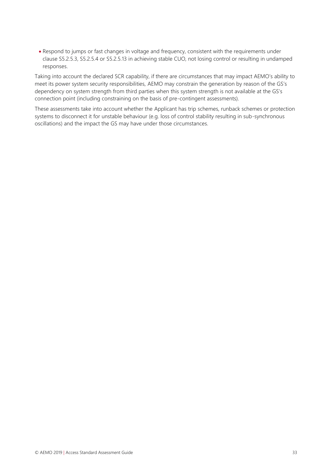• Respond to jumps or fast changes in voltage and frequency, consistent with the requirements under clause S5.2.5.3, S5.2.5.4 or S5.2.5.13 in achieving stable CUO, not losing control or resulting in undamped responses.

Taking into account the declared SCR capability, if there are circumstances that may impact AEMO's ability to meet its power system security responsibilities, AEMO may constrain the generation by reason of the GS's dependency on system strength from third parties when this system strength is not available at the GS's connection point (including constraining on the basis of pre-contingent assessments).

These assessments take into account whether the Applicant has trip schemes, runback schemes or protection systems to disconnect it for unstable behaviour (e.g. loss of control stability resulting in sub-synchronous oscillations) and the impact the GS may have under those circumstances.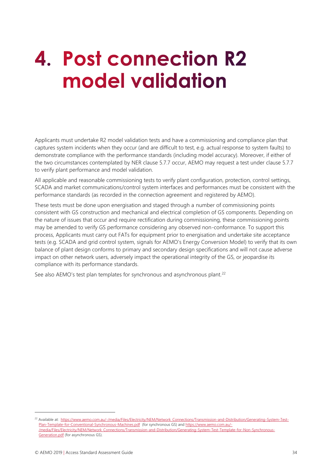## <span id="page-33-0"></span>**4. Post connection R2** model validation

Applicants must undertake R2 model validation tests and have a commissioning and compliance plan that captures system incidents when they occur (and are difficult to test, e.g. actual response to system faults) to demonstrate compliance with the performance standards (including model accuracy). Moreover, if either of the two circumstances contemplated by NER clause 5.7.7 occur, AEMO may request a test under clause 5.7.7 to verify plant performance and model validation.

All applicable and reasonable commissioning tests to verify plant configuration, protection, control settings, SCADA and market communications/control system interfaces and performances must be consistent with the performance standards (as recorded in the connection agreement and registered by AEMO).

These tests must be done upon energisation and staged through a number of commissioning points consistent with GS construction and mechanical and electrical completion of GS components. Depending on the nature of issues that occur and require rectification during commissioning, these commissioning points may be amended to verify GS performance considering any observed non-conformance. To support this process, Applicants must carry out FATs for equipment prior to energisation and undertake site acceptance tests (e.g. SCADA and grid control system, signals for AEMO's Energy Conversion Model) to verify that its own balance of plant design conforms to primary and secondary design specifications and will not cause adverse impact on other network users, adversely impact the operational integrity of the GS, or jeopardise its compliance with its performance standards.

See also AEMO's test plan templates for synchronous and asynchronous plant.<sup>22</sup>

<sup>&</sup>lt;sup>22</sup> Available at: [https://www.aemo.com.au/-/media/Files/Electricity/NEM/Network\\_Connections/Transmission-and-Distribution/Generating-System-Test-](https://www.aemo.com.au/-/media/Files/Electricity/NEM/Network_Connections/Transmission-and-Distribution/Generating-System-Test-Plan-Template-for-Conventional-Synchronous-Machines.pdf)[Plan-Template-for-Conventional-Synchronous-Machines.pdf](https://www.aemo.com.au/-/media/Files/Electricity/NEM/Network_Connections/Transmission-and-Distribution/Generating-System-Test-Plan-Template-for-Conventional-Synchronous-Machines.pdf) (for synchronous GS) and [https://www.aemo.com.au/-](https://www.aemo.com.au/-/media/Files/Electricity/NEM/Network_Connections/Transmission-and-Distribution/Generating-System-Test-Template-for-Non-Synchronous-Generation.pdf) [/media/Files/Electricity/NEM/Network\\_Connections/Transmission-and-Distribution/Generating-System-Test-Template-for-Non-Synchronous-](https://www.aemo.com.au/-/media/Files/Electricity/NEM/Network_Connections/Transmission-and-Distribution/Generating-System-Test-Template-for-Non-Synchronous-Generation.pdf)[Generation.pdf](https://www.aemo.com.au/-/media/Files/Electricity/NEM/Network_Connections/Transmission-and-Distribution/Generating-System-Test-Template-for-Non-Synchronous-Generation.pdf) (for asynchronous GS).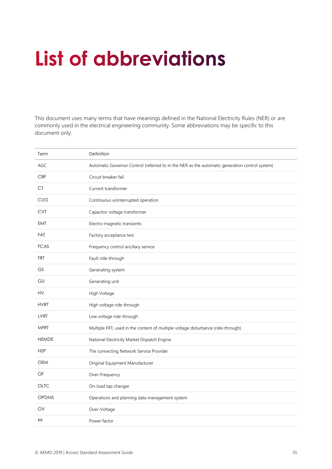## <span id="page-34-0"></span>**List of abbreviations**

This document uses many terms that have meanings defined in the National Electricity Rules (NER) or are commonly used in the electrical engineering community. Some abbreviations may be specific to this document only.

| Term         | Definition                                                                                     |
|--------------|------------------------------------------------------------------------------------------------|
| AGC          | Automatic Governor Control (referred to in the NER as the automatic generation control system) |
| <b>CBF</b>   | Circuit breaker fail                                                                           |
| CT.          | Current transformer                                                                            |
| <b>CUO</b>   | Continuous uninterrupted operation                                                             |
| <b>CVT</b>   | Capacitor voltage transformer                                                                  |
| <b>EMT</b>   | Electro-magnetic transients                                                                    |
| <b>FAT</b>   | Factory acceptance test                                                                        |
| <b>FCAS</b>  | Frequency control ancillary service                                                            |
| <b>FRT</b>   | Fault ride-through                                                                             |
| <b>GS</b>    | Generating system                                                                              |
| GU           | Generating unit                                                                                |
| HV           | High Voltage                                                                                   |
| <b>HVRT</b>  | High voltage ride-through                                                                      |
| LVRT         | Low voltage ride-through                                                                       |
| <b>MFRT</b>  | Multiple FRT, used in the content of multiple voltage disturbance (ride-through)               |
| <b>NEMDE</b> | National Electricity Market Dispatch Engine                                                    |
| <b>NSP</b>   | The connecting Network Service Provider                                                        |
| <b>OEM</b>   | Original Equipment Manufacturer                                                                |
| OF           | Over-Frequency                                                                                 |
| <b>OLTC</b>  | On-load tap changer                                                                            |
| <b>OPDMS</b> | Operations and planning data management system                                                 |
| OV           | Over-Voltage                                                                                   |
| PF           | Power factor                                                                                   |